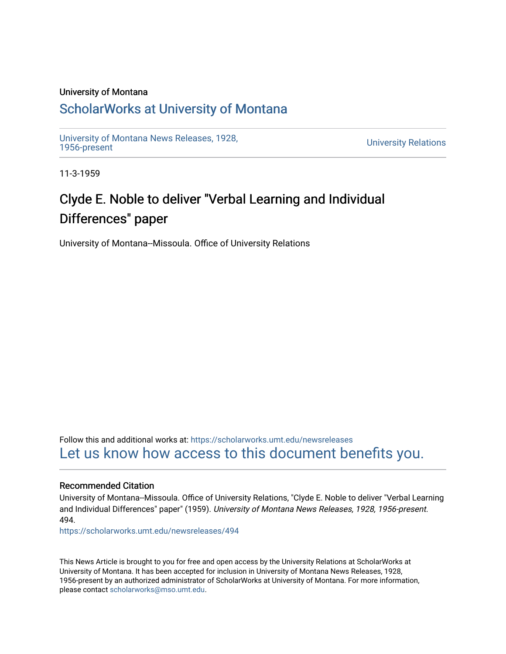### University of Montana

# [ScholarWorks at University of Montana](https://scholarworks.umt.edu/)

[University of Montana News Releases, 1928,](https://scholarworks.umt.edu/newsreleases) 

**University Relations** 

11-3-1959

# Clyde E. Noble to deliver "Verbal Learning and Individual Differences" paper

University of Montana--Missoula. Office of University Relations

Follow this and additional works at: [https://scholarworks.umt.edu/newsreleases](https://scholarworks.umt.edu/newsreleases?utm_source=scholarworks.umt.edu%2Fnewsreleases%2F494&utm_medium=PDF&utm_campaign=PDFCoverPages) [Let us know how access to this document benefits you.](https://goo.gl/forms/s2rGfXOLzz71qgsB2) 

#### Recommended Citation

University of Montana--Missoula. Office of University Relations, "Clyde E. Noble to deliver "Verbal Learning and Individual Differences" paper" (1959). University of Montana News Releases, 1928, 1956-present. 494.

[https://scholarworks.umt.edu/newsreleases/494](https://scholarworks.umt.edu/newsreleases/494?utm_source=scholarworks.umt.edu%2Fnewsreleases%2F494&utm_medium=PDF&utm_campaign=PDFCoverPages)

This News Article is brought to you for free and open access by the University Relations at ScholarWorks at University of Montana. It has been accepted for inclusion in University of Montana News Releases, 1928, 1956-present by an authorized administrator of ScholarWorks at University of Montana. For more information, please contact [scholarworks@mso.umt.edu.](mailto:scholarworks@mso.umt.edu)